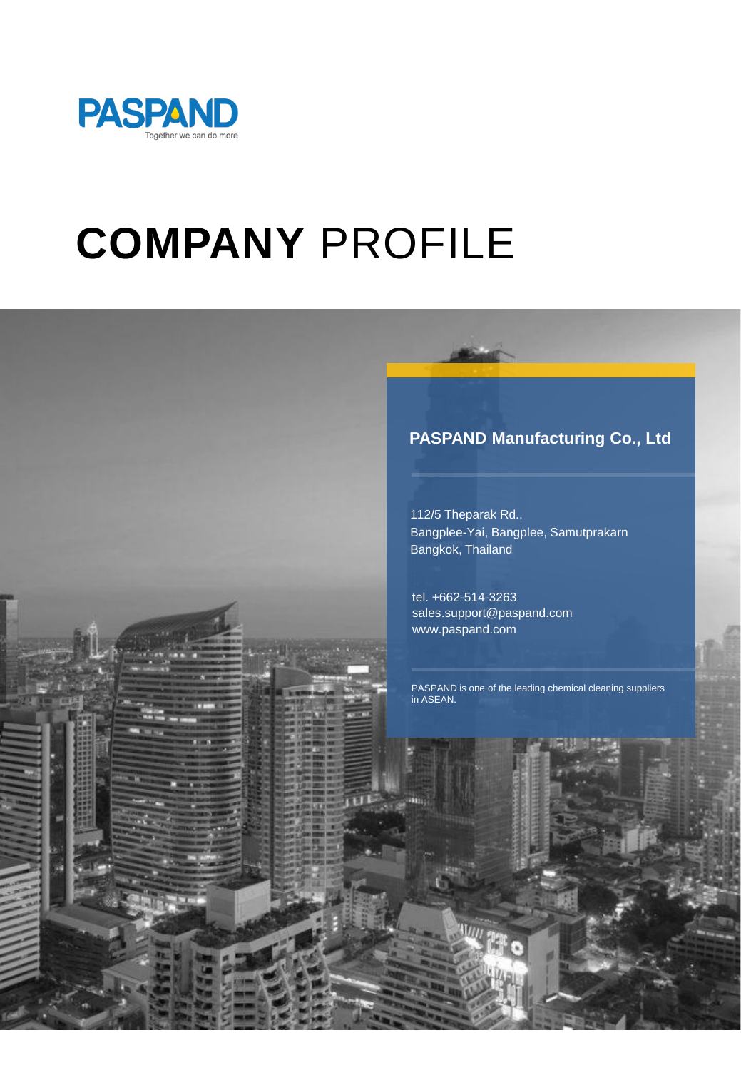

# **COMPANY** PROFILE

#### **PASPAND Manufacturing Co., Ltd**

112/5 Theparak Rd., Bangplee-Yai, Bangplee, Samutprakarn Bangkok, Thailand

tel. +662-514-3263 sales.support@paspand.com www.paspand.com

m

PASPAND is one of the leading chemical cleaning suppliers in ASEAN.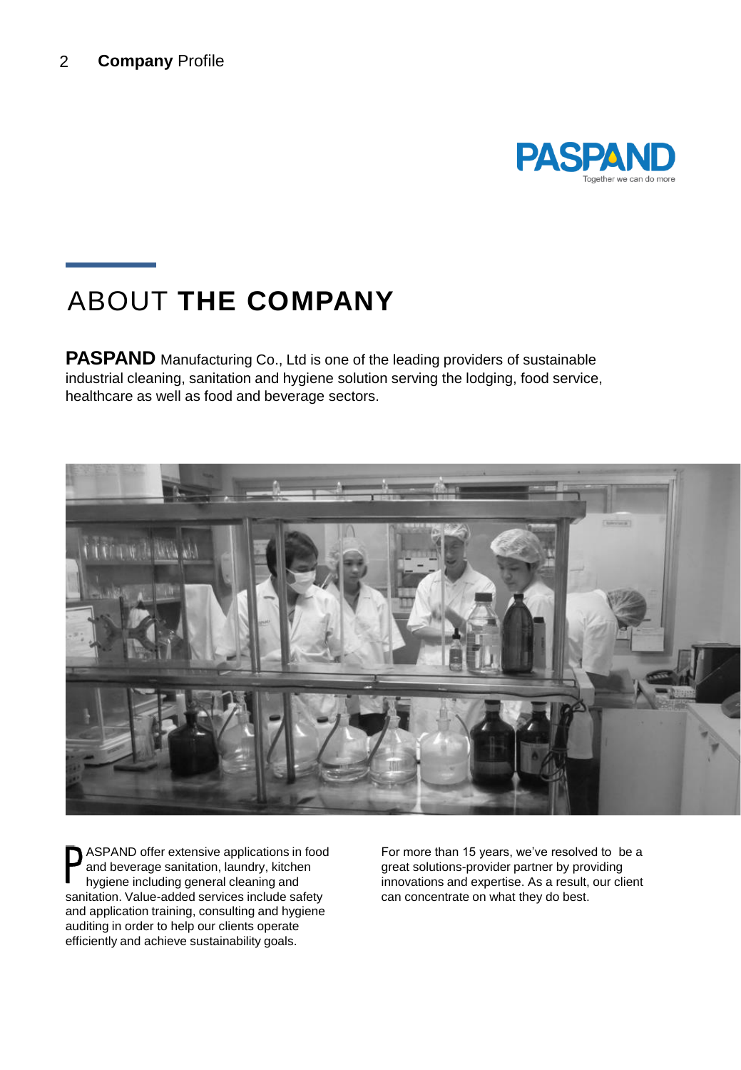

## ABOUT **THE COMPANY**

**PASPAND** Manufacturing Co., Ltd is one of the leading providers of sustainable industrial cleaning, sanitation and hygiene solution serving the lodging, food service, healthcare as well as food and beverage sectors.



 ASPAND offer extensive applications in food and beverage sanitation, laundry, kitchen hygiene including general cleaning and sanitation. Value-added services include safety and application training, consulting and hygiene auditing in order to help our clients operate efficiently and achieve sustainability goals.

For more than 15 years, we've resolved to be a great solutions-provider partner by providing innovations and expertise. As a result, our client can concentrate on what they do best.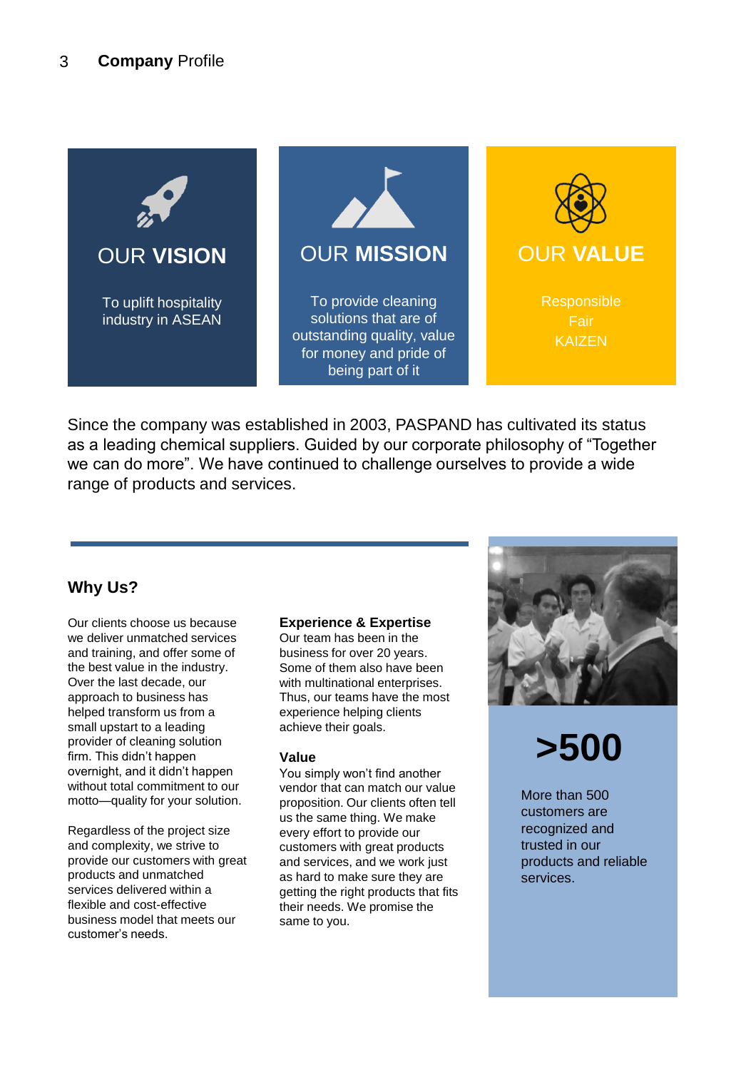

Since the company was established in 2003, PASPAND has cultivated its status as a leading chemical suppliers. Guided by our corporate philosophy of "Together we can do more". We have continued to challenge ourselves to provide a wide range of products and services.

### **Why Us?**

Our clients choose us because we deliver unmatched services and training, and offer some of the best value in the industry. Over the last decade, our approach to business has helped transform us from a small upstart to a leading provider of cleaning solution firm. This didn't happen overnight, and it didn't happen without total commitment to our motto—quality for your solution.

Regardless of the project size and complexity, we strive to provide our customers with great products and unmatched services delivered within a flexible and cost-effective business model that meets our customer's needs.

#### **Experience & Expertise**

Our team has been in the business for over 20 years. Some of them also have been with multinational enterprises. Thus, our teams have the most experience helping clients achieve their goals.

#### **Value**

You simply won't find another vendor that can match our value proposition. Our clients often tell us the same thing. We make every effort to provide our customers with great products and services, and we work just as hard to make sure they are getting the right products that fits their needs. We promise the same to you.



## **>500**

More than 500 customers are recognized and trusted in our products and reliable services.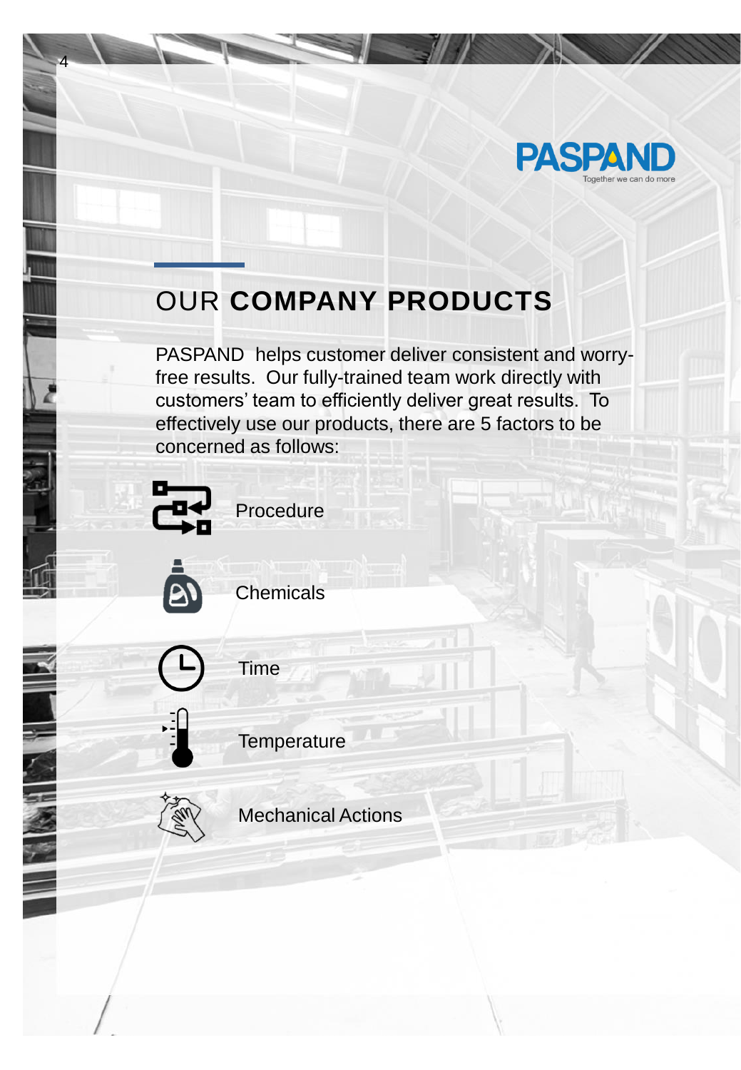

## OUR **COMPANY PRODUCTS**

PASPAND helps customer deliver consistent and worryfree results. Our fully-trained team work directly with customers' team to efficiently deliver great results. To effectively use our products, there are 5 factors to be concerned as follows:



4 **Company** Profile

Procedure



**Chemicals** 



Time



NITE AND IN THE REAL PROPERTY.

**Temperature** 



Mechanical Actions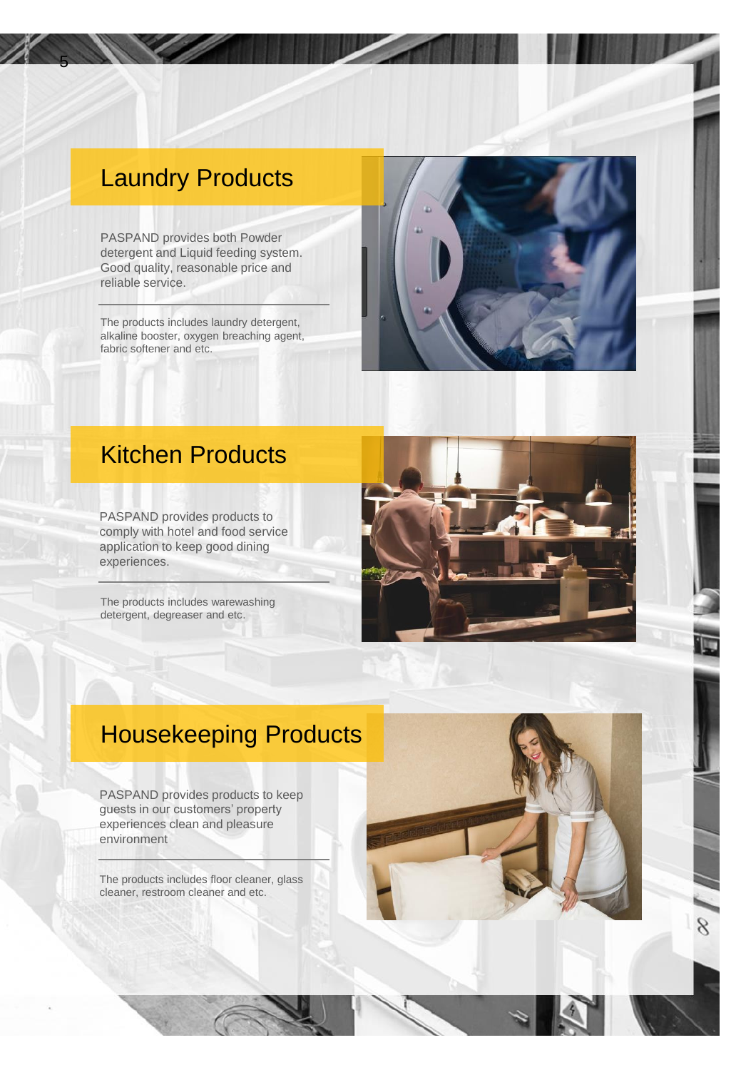## Laundry Products

5 **Company** Profile

D

PASPAND provides both Powder detergent and Liquid feeding system. Good quality, reasonable price and reliable service.

The products includes laundry detergent, alkaline booster, oxygen breaching agent, fabric softener and etc.



## Kitchen Products

PASPAND provides products to comply with hotel and food service application to keep good dining experiences.

The products includes warewashing detergent, degreaser and etc.



## Housekeeping Products

PASPAND provides products to keep guests in our customers' property experiences clean and pleasure environment

The products includes floor cleaner, glass cleaner, restroom cleaner and etc.



 $\delta$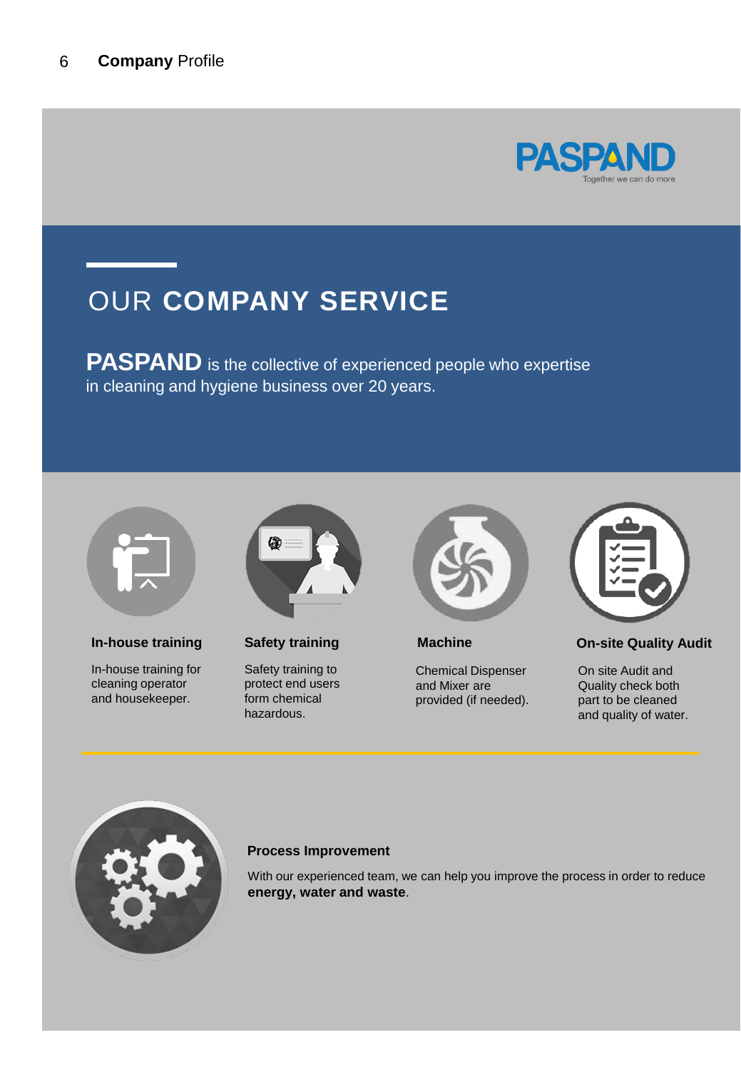

## OUR **COMPANY SERVICE**

**PASPAND** is the collective of experienced people who expertise in cleaning and hygiene business over 20 years.



In-house training for cleaning operator and housekeeper.



Safety training to protect end users form chemical hazardous.



Chemical Dispenser and Mixer are provided (if needed).



#### **In-house training Safety training Machine On-site Quality Audit**

On site Audit and Quality check both part to be cleaned and quality of water.



#### **Process Improvement**

With our experienced team, we can help you improve the process in order to reduce **energy, water and waste**.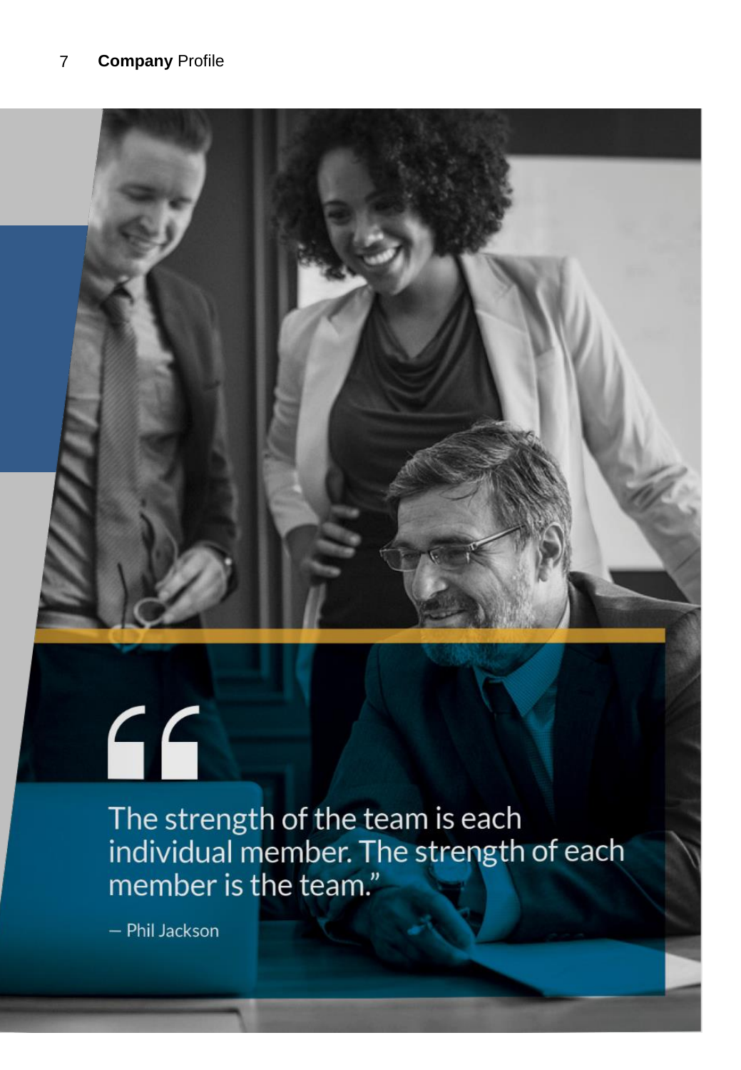### 7 **Company** Profile



# $66$

The strength of the team is each<br>individual member. The strength of each member is the team."

- Phil Jackson